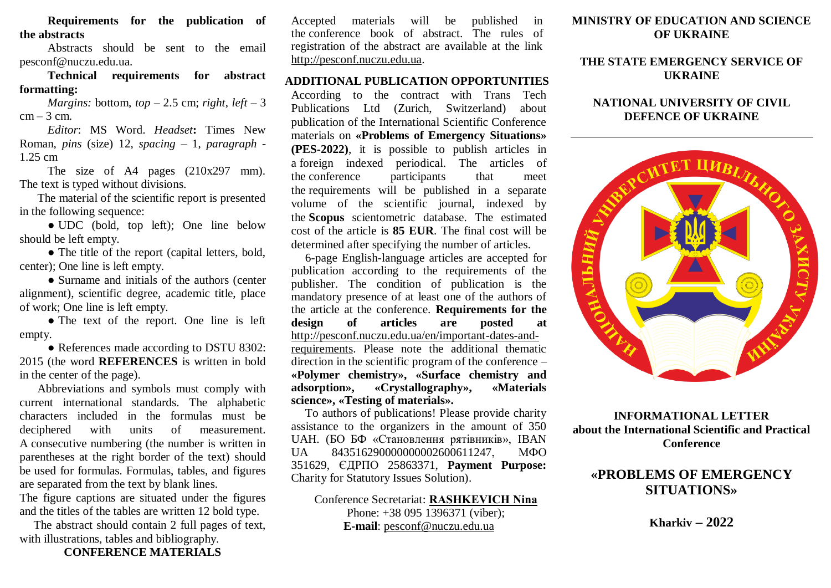**Requirements for the publication of the abstracts**

Abstracts should be sent to the email pesconf@nuczu.edu.ua.

**Technical requirements for abstract formatting:**

*Margins:* bottom,  $top - 2.5$  cm; *right*,  $left - 3$  $cm - 3 cm$ .

*Editor*: MS Word. *Headset***:** Times New Roman, *pins* (size) 12, *spacing* – 1, *paragraph* - 1.25 cm

The size of A4 pages (210x297 mm). The text is typed without divisions.

The material of the scientific report is presented in the following sequence:

● UDC (bold, top left); One line below should be left empty.

• The title of the report (capital letters, bold, center); One line is left empty.

• Surname and initials of the authors (center alignment), scientific degree, academic title, place of work; One line is left empty.

• The text of the report. One line is left empty.

● References made according to DSTU 8302: 2015 (the word **REFERENCES** is written in bold in the center of the page).

Abbreviations and symbols must comply with current international standards. The alphabetic characters included in the formulas must be deciphered with units of measurement. A consecutive numbering (the number is written in parentheses at the right border of the text) should be used for formulas. Formulas, tables, and figures are separated from the text by blank lines.

The figure captions are situated under the figures and the titles of the tables are written 12 bold type.

The abstract should contain 2 full pages of text, with illustrations, tables and bibliography.

**CONFERENCE MATERIALS**

Accepted materials will be published in the conference book of abstract. The rules of registration of the abstract are available at the link [http://pesconf.nuczu.edu.ua.](http://pesconf.nuczu.edu.ua/)

#### **ADDITIONAL PUBLICATION OPPORTUNITIES**

According to the contract with Trans Tech Publications Ltd (Zurich, Switzerland) about publication of the International Scientific Conference materials on **«Problems of Emergency Situations» (PES-2022)**, it is possible to publish articles in a foreign indexed periodical. The articles of the conference participants that meet the requirements will be published in a separate volume of the scientific journal, indexed by the **Scopus** scientometric database. The estimated cost of the article is **85 EUR**. The final cost will be determined after specifying the number of articles.

6-page English-language articles are accepted for publication according to the requirements of the publisher. The condition of publication is the mandatory presence of at least one of the authors of the article at the conference. **Requirements for the design of articles are posted at** [http://pesconf.nuczu.edu.ua/en/important-dates-and](http://pesconf.nuczu.edu.ua/en/important-dates-and-requirements)[requirements.](http://pesconf.nuczu.edu.ua/en/important-dates-and-requirements) Please note the additional thematic direction in the scientific program of the conference – **«Polymer chemistry», «Surface chemistry and adsorption», «Crystallography», «Materials science», «Testing of materials».**

To authors of publications! Please provide charity assistance to the organizers in the amount of 350 UAH. (БО БФ «Становлення рятівників», IBAN UA 843516290000000002600611247, МФО 351629, ЄДРПО 25863371, **Payment Purpose:** Charity for Statutory Issues Solution).

Conference Secretariat: **RASHKEVICH Nina** Phone: +38 095 1396371 (viber); **E-mail**: [pesconf@nuczu.edu.ua](mailto:pesconf@nuczu.edu.ua)

#### **MINISTRY OF EDUCATION AND SCIENCE OF UKRAINE**

#### **THE STATE EMERGENCY SERVICE OF UKRAINE**

## **NATIONAL UNIVERSITY OF CIVIL DEFENCE OF UKRAINE**



**INFORMATIONAL LETTER about the International Scientific and Practical Conference**

# **«PROBLEMS OF EMERGENCY SITUATIONS»**

**Kharkiv – 2022**